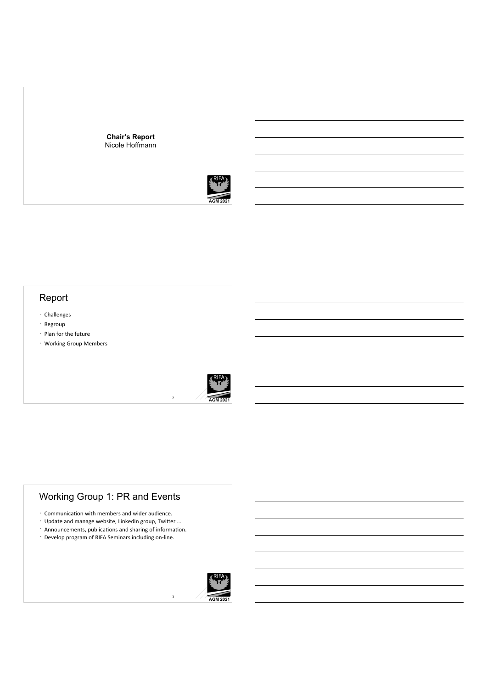

#### **AGM 2021**

## Report

- Challenges
- Regroup
- $\cdot$  Plan for the future
- Working Group Members



2

3

### Working Group 1: PR and Events

- $\cdot$  Communication with members and wider audience.
- $\cdot$  Update and manage website, LinkedIn group, Twitter ...
- $\cdot$  Announcements, publications and sharing of information.
- · Develop program of RIFA Seminars including on-line.

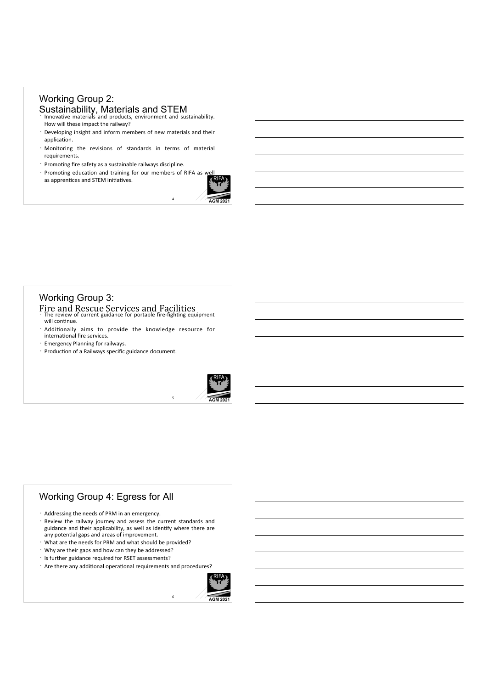## Working Group 2: Sustainability, Materials and STEM<br>
Innovative materials and products, environment and sustainability.

- How will these impact the railway?
- Developing insight and inform members of new materials and their application.
- Monitoring the revisions of standards in terms of material requirements.
- $\cdot$  Promoting fire safety as a sustainable railways discipline.
- · Promoting education and training for our members of RIFA as  $w_1$ as apprentices and STEM initiatives.



4

5

6

#### Working Group 3:

Fire and Rescue Services and Facilities<br>The review of current guidance for portable fire-fighting equipment will continue.

- $\cdot$  Additionally aims to provide the knowledge resource for international fire services.
- Emergency Planning for railways.
- $\cdot$  Production of a Railways specific guidance document.



#### Working Group 4: Egress for All

- $\cdot$  Addressing the needs of PRM in an emergency.
- Review the railway journey and assess the current standards and guidance and their applicability, as well as identify where there are any potential gaps and areas of improvement.
- $\cdot$  What are the needs for PRM and what should be provided?
- $\cdot$  Why are their gaps and how can they be addressed?
- · Is further guidance required for RSET assessments?
- $\cdot$  Are there any additional operational requirements and procedures?